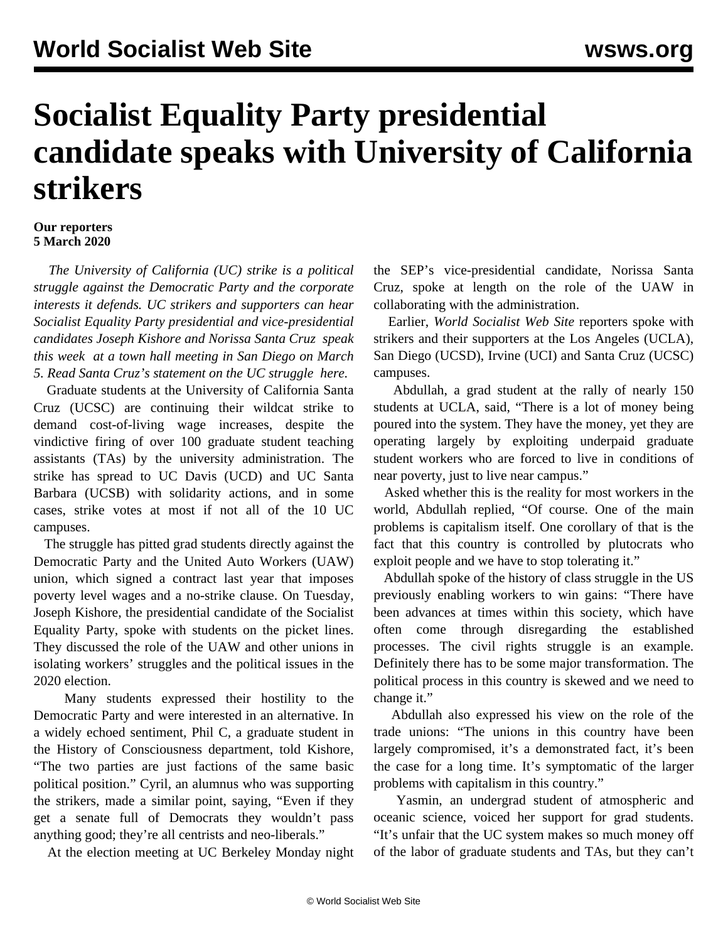## **Socialist Equality Party presidential candidate speaks with University of California strikers**

## **Our reporters 5 March 2020**

 *The University of California (UC) strike is a political struggle against the Democratic Party and the corporate interests it defends. UC strikers and supporters can hear Socialist Equality Party presidential and vice-presidential candidates Joseph Kishore and Norissa Santa Cruz [speak](https://www.socialism2020.org/townhall) [this week](https://www.socialism2020.org/townhall) at a town hall meeting in San Diego on March 5. Read Santa Cruz's statement on the UC struggle [here.](/en/articles/2020/02/20/ucsc-f20.html)*

 Graduate students at the University of California Santa Cruz (UCSC) are continuing their wildcat strike to demand cost-of-living wage increases, despite the vindictive firing of over 100 graduate student teaching assistants (TAs) by the university administration. The strike has [spread](/en/articles/2020/03/03/ucsc-m03.html) to UC Davis (UCD) and UC Santa Barbara (UCSB) with solidarity actions, and in some cases, strike votes at most if not all of the 10 UC campuses.

 The struggle has pitted grad students directly against the Democratic Party and the United Auto Workers (UAW) union, which signed a contract last year that imposes poverty level wages and a no-strike clause. On Tuesday, Joseph Kishore, the presidential candidate of the Socialist Equality Party, spoke with students on the picket lines. They discussed the role of the UAW and other unions in isolating workers' struggles and the political issues in the 2020 election.

 Many students expressed their hostility to the Democratic Party and were interested in an alternative. In a widely echoed sentiment, Phil C, a graduate student in the History of Consciousness department, told Kishore, "The two parties are just factions of the same basic political position." Cyril, an alumnus who was supporting the strikers, made a similar point, saying, "Even if they get a senate full of Democrats they wouldn't pass anything good; they're all centrists and neo-liberals."

At the election meeting at UC Berkeley Monday night

the SEP's vice-presidential candidate, Norissa Santa Cruz, spoke at length on the role of the UAW in collaborating with the administration.

 Earlier, *World Socialist Web Site* reporters spoke with strikers and their supporters at the Los Angeles (UCLA), San Diego (UCSD), Irvine (UCI) and Santa Cruz (UCSC) campuses.

 Abdullah, a grad student at the rally of nearly 150 students at UCLA, said, "There is a lot of money being poured into the system. They have the money, yet they are operating largely by exploiting underpaid graduate student workers who are forced to live in conditions of near poverty, just to live near campus."

 Asked whether this is the reality for most workers in the world, Abdullah replied, "Of course. One of the main problems is capitalism itself. One corollary of that is the fact that this country is controlled by plutocrats who exploit people and we have to stop tolerating it."

 Abdullah spoke of the history of class struggle in the US previously enabling workers to win gains: "There have been advances at times within this society, which have often come through disregarding the established processes. The civil rights struggle is an example. Definitely there has to be some major transformation. The political process in this country is skewed and we need to change it."

 Abdullah also expressed his view on the role of the trade unions: "The unions in this country have been largely compromised, it's a demonstrated fact, it's been the case for a long time. It's symptomatic of the larger problems with capitalism in this country."

 Yasmin, an undergrad student of atmospheric and oceanic science, voiced her support for grad students. "It's unfair that the UC system makes so much money off of the labor of graduate students and TAs, but they can't